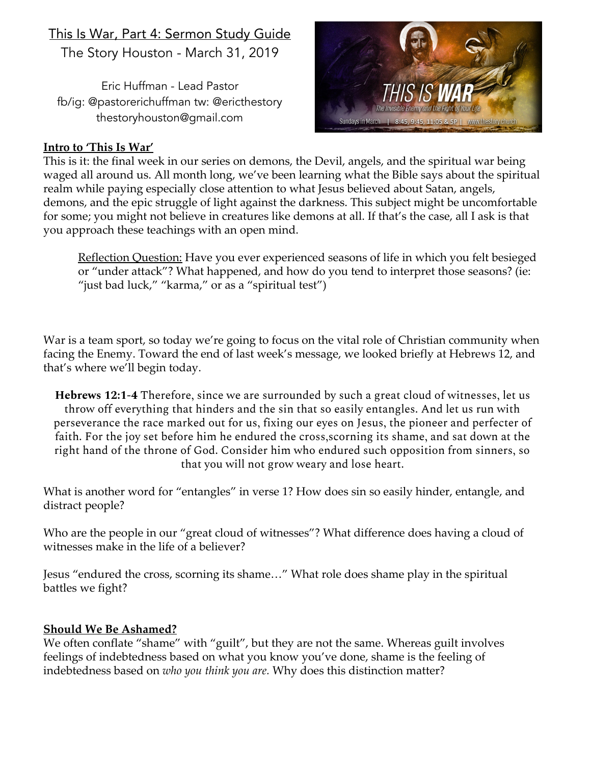## This Is War, Part 4: Sermon Study Guide

The Story Houston - March 31, 2019

Eric Huffman - Lead Pastor fb/ig: @pastorerichuffman tw: @ericthestory thestoryhouston@gmail.com



## **Intro to 'This Is War'**

This is it: the final week in our series on demons, the Devil, angels, and the spiritual war being waged all around us. All month long, we've been learning what the Bible says about the spiritual realm while paying especially close attention to what Jesus believed about Satan, angels, demons, and the epic struggle of light against the darkness. This subject might be uncomfortable for some; you might not believe in creatures like demons at all. If that's the case, all I ask is that you approach these teachings with an open mind.

Reflection Question: Have you ever experienced seasons of life in which you felt besieged or "under attack"? What happened, and how do you tend to interpret those seasons? (ie: "just bad luck," "karma," or as a "spiritual test")

War is a team sport, so today we're going to focus on the vital role of Christian community when facing the Enemy. Toward the end of last week's message, we looked briefly at Hebrews 12, and that's where we'll begin today.

**Hebrews 12:1-4** Therefore, since we are surrounded by such a great cloud of witnesses, let us throw off everything that hinders and the sin that so easily entangles. And let us run with perseverance the race marked out for us, fixing our eyes on Jesus, the pioneer and perfecter of faith. For the joy set before him he endured the cross,scorning its shame, and sat down at the right hand of the throne of God. Consider him who endured such opposition from sinners, so that you will not grow weary and lose heart.

What is another word for "entangles" in verse 1? How does sin so easily hinder, entangle, and distract people?

Who are the people in our "great cloud of witnesses"? What difference does having a cloud of witnesses make in the life of a believer?

Jesus "endured the cross, scorning its shame…" What role does shame play in the spiritual battles we fight?

## **Should We Be Ashamed?**

We often conflate "shame" with "guilt", but they are not the same. Whereas guilt involves feelings of indebtedness based on what you know you've done, shame is the feeling of indebtedness based on *who you think you are.* Why does this distinction matter?